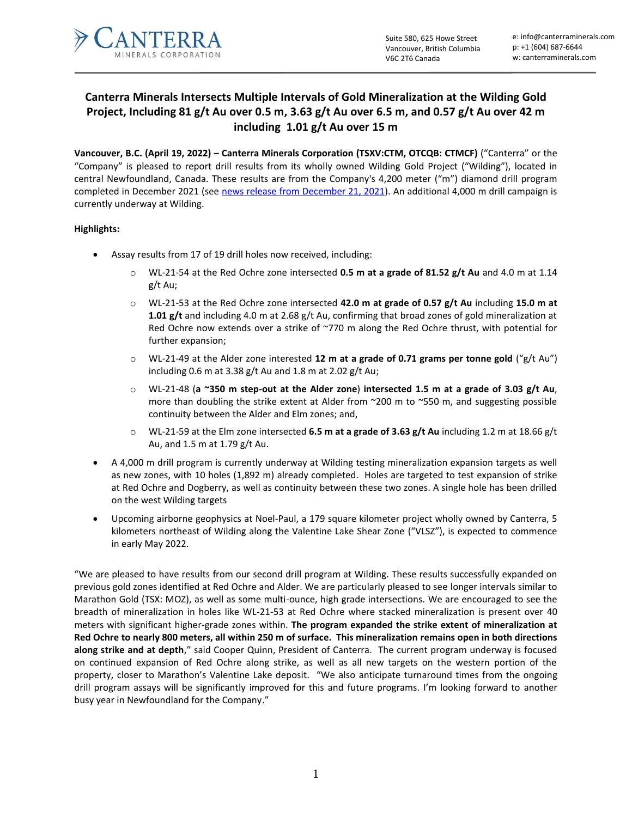

# **Canterra Minerals Intersects Multiple Intervals of Gold Mineralization at the Wilding Gold Project, Including 81 g/t Au over 0.5 m, 3.63 g/t Au over 6.5 m, and 0.57 g/t Au over 42 m including 1.01 g/t Au over 15 m**

**Vancouver, B.C. (April 19, 2022) – Canterra Minerals Corporation (TSXV:CTM, OTCQB: CTMCF)** ("Canterra" or the "Company" is pleased to report drill results from its wholly owned Wilding Gold Project ("Wilding"), located in central Newfoundland, Canada. These results are from the Company's 4,200 meter ("m") diamond drill program completed in December 2021 (see [news release from December 21, 2021\)](mailto:https://canterraminerals.com/news-releases/canterra-minerals-provides-drilling-update-and-defines-new-gold-targets-on-its-noel-paul-project-newfoundland/). An additional 4,000 m drill campaign is currently underway at Wilding.

# **Highlights:**

- Assay results from 17 of 19 drill holes now received, including:
	- o WL-21-54 at the Red Ochre zone intersected **0.5 m at a grade of 81.52 g/t Au** and 4.0 m at 1.14 g/t Au;
	- o WL-21-53 at the Red Ochre zone intersected **42.0 m at grade of 0.57 g/t Au** including **15.0 m at 1.01 g/t** and including 4.0 m at 2.68 g/t Au, confirming that broad zones of gold mineralization at Red Ochre now extends over a strike of ~770 m along the Red Ochre thrust, with potential for further expansion;
	- o WL-21-49 at the Alder zone interested **12 m at a grade of 0.71 grams per tonne gold** ("g/t Au") including 0.6 m at 3.38 g/t Au and 1.8 m at 2.02 g/t Au;
	- o WL-21-48 (**a ~350 m step-out at the Alder zone**) **intersected 1.5 m at a grade of 3.03 g/t Au**, more than doubling the strike extent at Alder from ~200 m to ~550 m, and suggesting possible continuity between the Alder and Elm zones; and,
	- o WL-21-59 at the Elm zone intersected **6.5 m at a grade of 3.63 g/t Au** including 1.2 m at 18.66 g/t Au, and 1.5 m at 1.79 g/t Au.
- A 4,000 m drill program is currently underway at Wilding testing mineralization expansion targets as well as new zones, with 10 holes (1,892 m) already completed. Holes are targeted to test expansion of strike at Red Ochre and Dogberry, as well as continuity between these two zones. A single hole has been drilled on the west Wilding targets
- Upcoming airborne geophysics at Noel-Paul, a 179 square kilometer project wholly owned by Canterra, 5 kilometers northeast of Wilding along the Valentine Lake Shear Zone ("VLSZ"), is expected to commence in early May 2022.

"We are pleased to have results from our second drill program at Wilding. These results successfully expanded on previous gold zones identified at Red Ochre and Alder. We are particularly pleased to see longer intervals similar to Marathon Gold (TSX: MOZ), as well as some multi-ounce, high grade intersections. We are encouraged to see the breadth of mineralization in holes like WL-21-53 at Red Ochre where stacked mineralization is present over 40 meters with significant higher-grade zones within. **The program expanded the strike extent of mineralization at Red Ochre to nearly 800 meters, all within 250 m of surface. This mineralization remains open in both directions along strike and at depth**," said Cooper Quinn, President of Canterra. The current program underway is focused on continued expansion of Red Ochre along strike, as well as all new targets on the western portion of the property, closer to Marathon's Valentine Lake deposit. "We also anticipate turnaround times from the ongoing drill program assays will be significantly improved for this and future programs. I'm looking forward to another busy year in Newfoundland for the Company."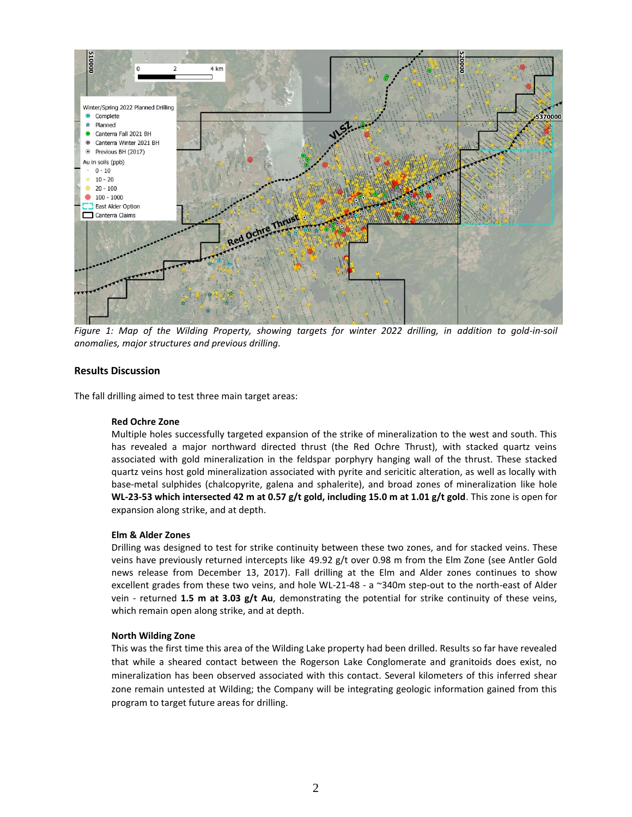

*Figure 1: Map of the Wilding Property, showing targets for winter 2022 drilling, in addition to gold-in-soil anomalies, major structures and previous drilling.*

## **Results Discussion**

The fall drilling aimed to test three main target areas:

#### **Red Ochre Zone**

Multiple holes successfully targeted expansion of the strike of mineralization to the west and south. This has revealed a major northward directed thrust (the Red Ochre Thrust), with stacked quartz veins associated with gold mineralization in the feldspar porphyry hanging wall of the thrust. These stacked quartz veins host gold mineralization associated with pyrite and sericitic alteration, as well as locally with base-metal sulphides (chalcopyrite, galena and sphalerite), and broad zones of mineralization like hole **WL-23-53 which intersected 42 m at 0.57 g/t gold, including 15.0 m at 1.01 g/t gold**. This zone is open for expansion along strike, and at depth.

#### **Elm & Alder Zones**

Drilling was designed to test for strike continuity between these two zones, and for stacked veins. These veins have previously returned intercepts like 49.92 g/t over 0.98 m from the Elm Zone (see Antler Gold news release from December 13, 2017). Fall drilling at the Elm and Alder zones continues to show excellent grades from these two veins, and hole WL-21-48 - a ~340m step-out to the north-east of Alder vein - returned **1.5 m at 3.03 g/t Au**, demonstrating the potential for strike continuity of these veins, which remain open along strike, and at depth.

#### **North Wilding Zone**

This was the first time this area of the Wilding Lake property had been drilled. Results so far have revealed that while a sheared contact between the Rogerson Lake Conglomerate and granitoids does exist, no mineralization has been observed associated with this contact. Several kilometers of this inferred shear zone remain untested at Wilding; the Company will be integrating geologic information gained from this program to target future areas for drilling.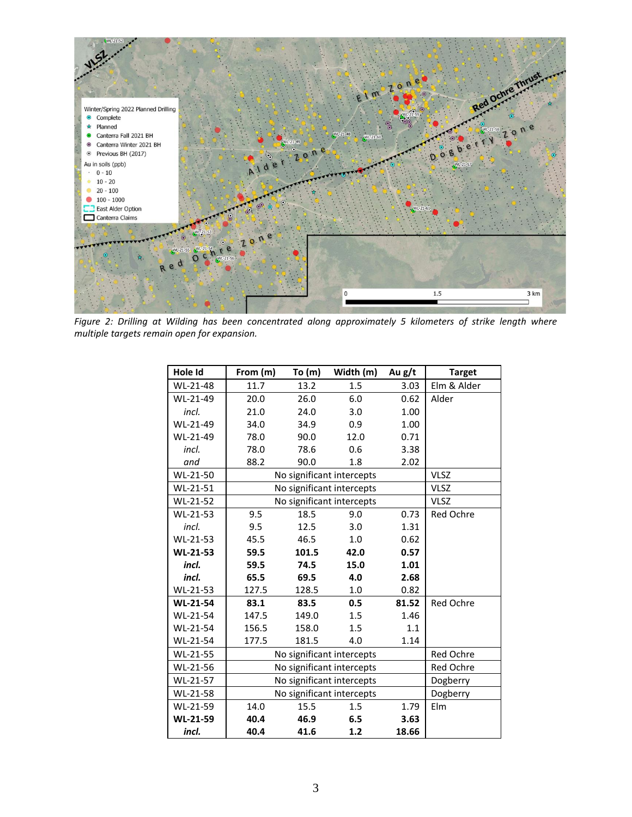

*Figure 2: Drilling at Wilding has been concentrated along approximately 5 kilometers of strike length where multiple targets remain open for expansion.*

| Hole Id         | From (m)                  | To (m)      | Width (m) | Au g/t | <b>Target</b>    |
|-----------------|---------------------------|-------------|-----------|--------|------------------|
| WL-21-48        | 11.7                      | 13.2        | 1.5       | 3.03   | Elm & Alder      |
| WL-21-49        | 20.0                      | 26.0        | 6.0       | 0.62   | Alder            |
| incl.           | 21.0                      | 24.0        | 3.0       | 1.00   |                  |
| WL-21-49        | 34.0                      | 34.9        | 0.9       | 1.00   |                  |
| WL-21-49        | 78.0                      | 90.0        | 12.0      | 0.71   |                  |
| incl.           | 78.0                      | 78.6        | 0.6       | 3.38   |                  |
| and             | 88.2                      | 90.0        | 1.8       | 2.02   |                  |
| WL-21-50        | No significant intercepts | <b>VLSZ</b> |           |        |                  |
| WL-21-51        | No significant intercepts | <b>VLSZ</b> |           |        |                  |
| WL-21-52        | No significant intercepts | <b>VLSZ</b> |           |        |                  |
| WL-21-53        | 9.5                       | 18.5        | 9.0       | 0.73   | Red Ochre        |
| incl.           | 9.5                       | 12.5        | 3.0       | 1.31   |                  |
| WL-21-53        | 45.5                      | 46.5        | 1.0       | 0.62   |                  |
| <b>WL-21-53</b> | 59.5                      | 101.5       | 42.0      | 0.57   |                  |
| incl.           | 59.5                      | 74.5        | 15.0      | 1.01   |                  |
| incl.           | 65.5                      | 69.5        | 4.0       | 2.68   |                  |
| WL-21-53        | 127.5                     | 128.5       | 1.0       | 0.82   |                  |
| <b>WL-21-54</b> | 83.1                      | 83.5        | 0.5       | 81.52  | <b>Red Ochre</b> |
| WL-21-54        | 147.5                     | 149.0       | 1.5       | 1.46   |                  |
| WL-21-54        | 156.5                     | 158.0       | 1.5       | 1.1    |                  |
| WL-21-54        | 177.5                     | 181.5       | 4.0       | 1.14   |                  |
| WL-21-55        | No significant intercepts | Red Ochre   |           |        |                  |
| WL-21-56        | No significant intercepts | Red Ochre   |           |        |                  |
| WL-21-57        | No significant intercepts | Dogberry    |           |        |                  |
| WL-21-58        | No significant intercepts | Dogberry    |           |        |                  |
| WL-21-59        | 14.0                      | 15.5        | 1.5       | 1.79   | Elm              |
| WL-21-59        | 40.4                      | 46.9        | 6.5       | 3.63   |                  |
| incl.           | 40.4                      | 41.6        | 1.2       | 18.66  |                  |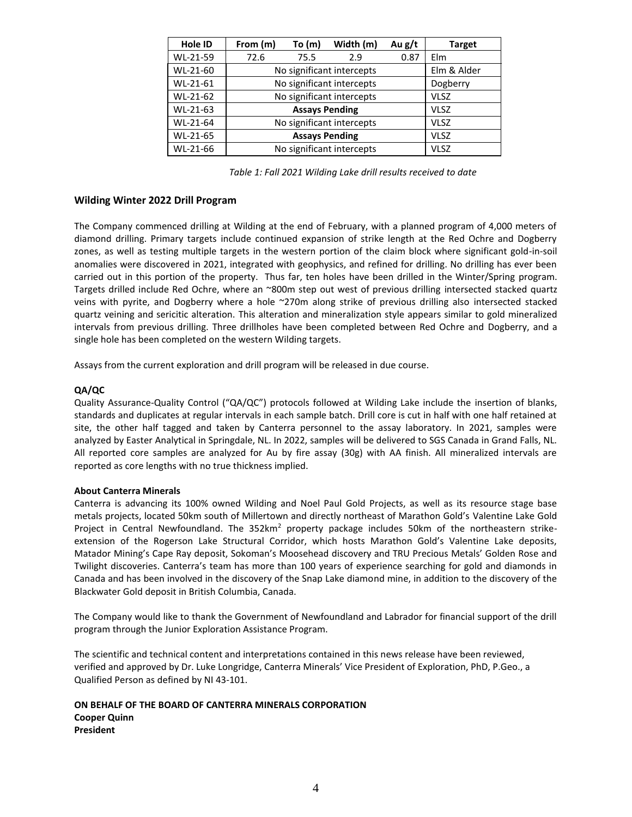| Hole ID  | From (m)                  | To (m)      | Width (m) | Au g/t | <b>Target</b> |
|----------|---------------------------|-------------|-----------|--------|---------------|
| WL-21-59 | 72.6                      | 75.5        | 2.9       | 0.87   | Elm           |
| WL-21-60 | No significant intercepts | Elm & Alder |           |        |               |
| WL-21-61 | No significant intercepts | Dogberry    |           |        |               |
| WL-21-62 | No significant intercepts | <b>VLSZ</b> |           |        |               |
| WL-21-63 |                           | <b>VLSZ</b> |           |        |               |
| WL-21-64 | No significant intercepts | <b>VLSZ</b> |           |        |               |
| WL-21-65 |                           | <b>VLSZ</b> |           |        |               |
| WL-21-66 | No significant intercepts | <b>VLSZ</b> |           |        |               |

*Table 1: Fall 2021 Wilding Lake drill results received to date*

## **Wilding Winter 2022 Drill Program**

The Company commenced drilling at Wilding at the end of February, with a planned program of 4,000 meters of diamond drilling. Primary targets include continued expansion of strike length at the Red Ochre and Dogberry zones, as well as testing multiple targets in the western portion of the claim block where significant gold-in-soil anomalies were discovered in 2021, integrated with geophysics, and refined for drilling. No drilling has ever been carried out in this portion of the property. Thus far, ten holes have been drilled in the Winter/Spring program. Targets drilled include Red Ochre, where an ~800m step out west of previous drilling intersected stacked quartz veins with pyrite, and Dogberry where a hole ~270m along strike of previous drilling also intersected stacked quartz veining and sericitic alteration. This alteration and mineralization style appears similar to gold mineralized intervals from previous drilling. Three drillholes have been completed between Red Ochre and Dogberry, and a single hole has been completed on the western Wilding targets.

Assays from the current exploration and drill program will be released in due course.

## **QA/QC**

Quality Assurance-Quality Control ("QA/QC") protocols followed at Wilding Lake include the insertion of blanks, standards and duplicates at regular intervals in each sample batch. Drill core is cut in half with one half retained at site, the other half tagged and taken by Canterra personnel to the assay laboratory. In 2021, samples were analyzed by Easter Analytical in Springdale, NL. In 2022, samples will be delivered to SGS Canada in Grand Falls, NL. All reported core samples are analyzed for Au by fire assay (30g) with AA finish. All mineralized intervals are reported as core lengths with no true thickness implied.

#### **About Canterra Minerals**

Canterra is advancing its 100% owned Wilding and Noel Paul Gold Projects, as well as its resource stage base metals projects, located 50km south of Millertown and directly northeast of Marathon Gold's Valentine Lake Gold Project in Central Newfoundland. The 352km<sup>2</sup> property package includes 50km of the northeastern strikeextension of the Rogerson Lake Structural Corridor, which hosts Marathon Gold's Valentine Lake deposits, Matador Mining's Cape Ray deposit, Sokoman's Moosehead discovery and TRU Precious Metals' Golden Rose and Twilight discoveries. Canterra's team has more than 100 years of experience searching for gold and diamonds in Canada and has been involved in the discovery of the Snap Lake diamond mine, in addition to the discovery of the Blackwater Gold deposit in British Columbia, Canada.

The Company would like to thank the Government of Newfoundland and Labrador for financial support of the drill program through the Junior Exploration Assistance Program.

The scientific and technical content and interpretations contained in this news release have been reviewed, verified and approved by Dr. Luke Longridge, Canterra Minerals' Vice President of Exploration, PhD, P.Geo., a Qualified Person as defined by NI 43-101.

## **ON BEHALF OF THE BOARD OF CANTERRA MINERALS CORPORATION Cooper Quinn President**